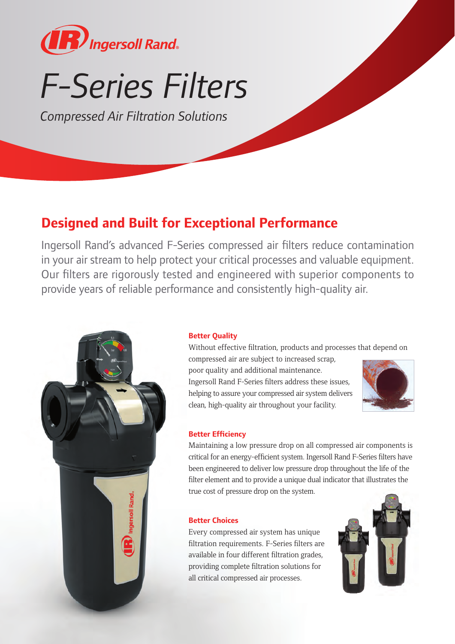

# *F-Series Filters*

*Compressed Air Filtration Solutions*

### **Designed and Built for Exceptional Performance**

Ingersoll Rand's advanced F-Series compressed air filters reduce contamination in your air stream to help protect your critical processes and valuable equipment. Our filters are rigorously tested and engineered with superior components to provide years of reliable performance and consistently high-quality air.



#### **Better Quality**

Without effective filtration, products and processes that depend on

compressed air are subject to increased scrap, poor quality and additional maintenance. Ingersoll Rand F-Series filters address these issues, helping to assure your compressed air system delivers clean, high-quality air throughout your facility.



#### **Better Efficiency**

Maintaining a low pressure drop on all compressed air components is critical for an energy-efficient system. Ingersoll Rand F-Series filters have been engineered to deliver low pressure drop throughout the life of the filter element and to provide a unique dual indicator that illustrates the true cost of pressure drop on the system.

#### **Better Choices**

Every compressed air system has unique filtration requirements. F-Series filters are available in four different filtration grades, providing complete filtration solutions for all critical compressed air processes.

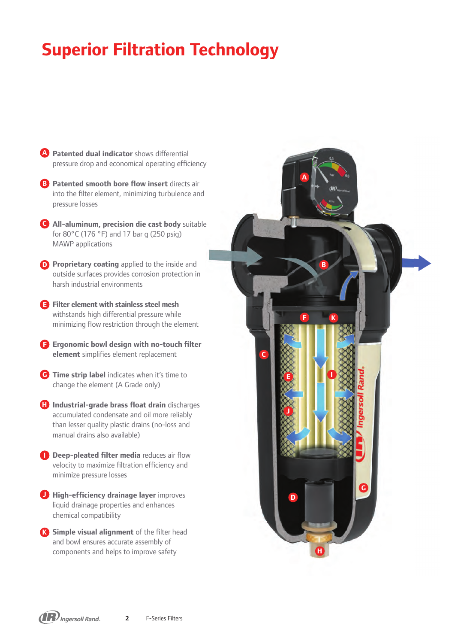### **Superior Filtration Technology**

- **A** Patented dual indicator shows differential pressure drop and economical operating efficiency
- **B** Patented smooth bore flow insert directs air into the filter element, minimizing turbulence and pressure losses
- **All-aluminum, precision die cast body** suitable **C** for 80°C (176 °F) and 17 bar g (250 psig) MAWP applications
- **P** Proprietary coating applied to the inside and outside surfaces provides corrosion protection in harsh industrial environments

**Filter element with stainless steel mesh E** withstands high differential pressure while minimizing flow restriction through the element

- **F** Ergonomic bowl design with no-touch filter **element** simplifies element replacement
- **G** Time strip label indicates when it's time to change the element (A Grade only)
- **ID** Industrial-grade brass float drain discharges accumulated condensate and oil more reliably than lesser quality plastic drains (no-loss and manual drains also available)
- **Deep-pleated filter media** reduces air flow velocity to maximize filtration efficiency and minimize pressure losses
- **High-efficiency drainage layer** improves liquid drainage properties and enhances chemical compatibility
- **K** Simple visual alignment of the filter head and bowl ensures accurate assembly of components and helps to improve safety

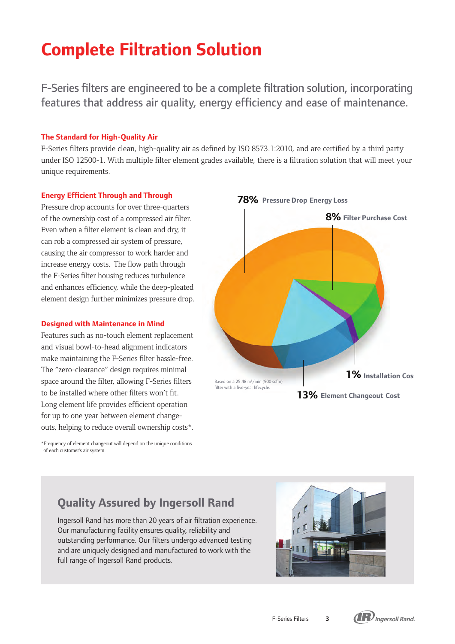## **Complete Filtration Solution**

F-Series filters are engineered to be a complete filtration solution, incorporating features that address air quality, energy efficiency and ease of maintenance.

#### **The Standard for High-Quality Air**

F-Series filters provide clean, high-quality air as defined by ISO 8573.1:2010, and are certified by a third party under ISO 12500-1. With multiple filter element grades available, there is a filtration solution that will meet your unique requirements.

#### **Energy Efficient Through and Through**

Pressure drop accounts for over three-quarters of the ownership cost of a compressed air filter. Even when a filter element is clean and dry, it can rob a compressed air system of pressure, causing the air compressor to work harder and increase energy costs. The flow path through the F-Series filter housing reduces turbulence and enhances efficiency, while the deep-pleated element design further minimizes pressure drop.

#### **Designed with Maintenance in Mind**

Features such as no-touch element replacement and visual bowl-to-head alignment indicators make maintaining the F-Series filter hassle-free. The "zero-clearance" design requires minimal space around the filter, allowing F-Series filters to be installed where other filters won't fit. Long element life provides efficient operation for up to one year between element changeouts, helping to reduce overall ownership costs\*.

\*Frequency of element changeout will depend on the unique conditions of each customer's air system.



### **Quality Assured by Ingersoll Rand**

Ingersoll Rand has more than 20 years of air filtration experience. Our manufacturing facility ensures quality, reliability and outstanding performance. Our filters undergo advanced testing and are uniquely designed and manufactured to work with the full range of Ingersoll Rand products.